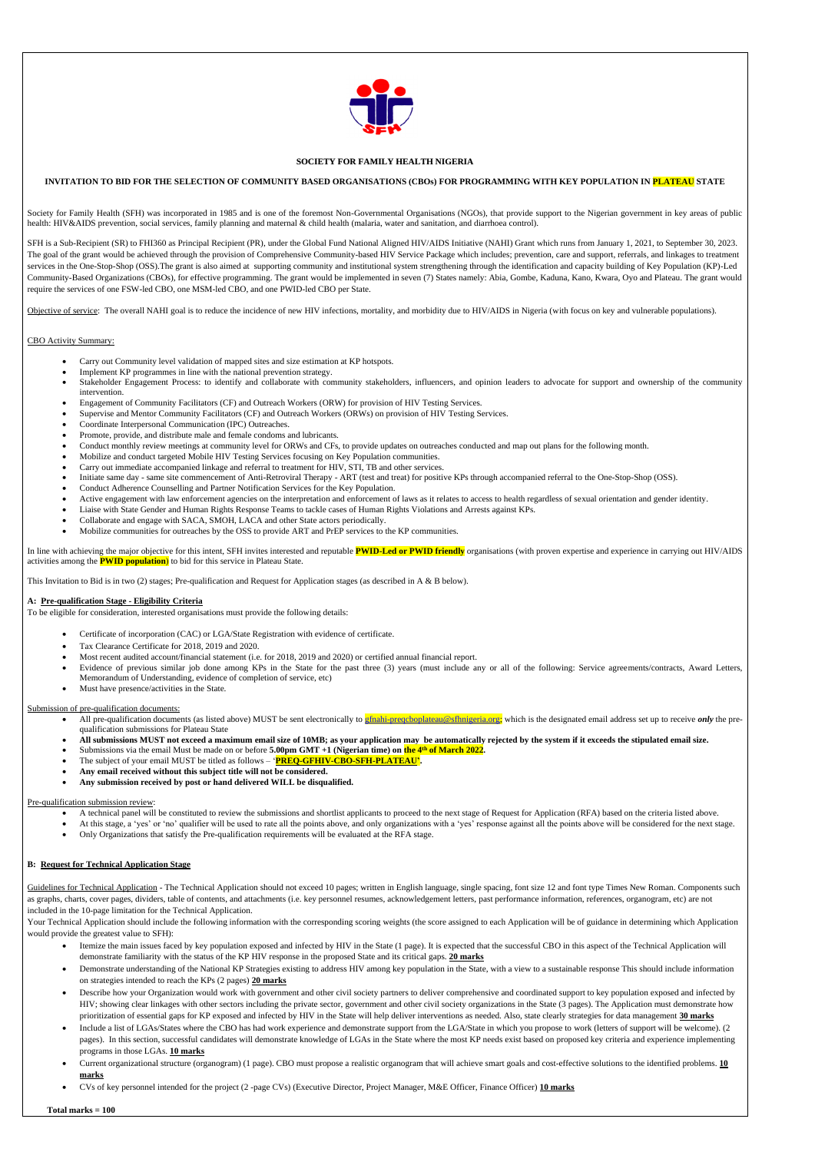

## **SOCIETY FOR FAMILY HEALTH NIGERIA**

## **INVITATION TO BID FOR THE SELECTION OF COMMUNITY BASED ORGANISATIONS (CBOs) FOR PROGRAMMING WITH KEY POPULATION IN PLATEAU STATE**

Society for Family Health (SFH) was incorporated in 1985 and is one of the foremost Non-Governmental Organisations (NGOs), that provide support to the Nigerian government in key areas of public health: HIV&AIDS prevention, social services, family planning and maternal & child health (malaria, water and sanitation, and diarrhoea control).

SFH is a Sub-Recipient (SR) to FHI360 as Principal Recipient (PR), under the Global Fund National Aligned HIV/AIDS Initiative (NAHI) Grant which runs from January 1, 2021, to September 30, 2023. The goal of the grant would be achieved through the provision of Comprehensive Community-based HIV Service Package which includes; prevention, care and support, referrals, and linkages to treatment services in the One-Stop-Shop (OSS). The grant is also aimed at supporting community and institutional system strengthening through the identification and capacity building of Key Population (KP)-Led Community-Based Organizations (CBOs), for effective programming. The grant would be implemented in seven (7) States namely: Abia, Gombe, Kaduna, Kano, Kwara, Oyo and Plateau. The grant would require the services of one FSW-led CBO, one MSM-led CBO, and one PWID-led CBO per State.

Objective of service: The overall NAHI goal is to reduce the incidence of new HIV infections, mortality, and morbidity due to HIV/AIDS in Nigeria (with focus on key and vulnerable populations).

# CBO Activity Summary:

- Carry out Community level validation of mapped sites and size estimation at KP hotspots.
- Implement KP programmes in line with the national prevention strategy.
- Stakeholder Engagement Process: to identify and collaborate with community stakeholders, influencers, and opinion leaders to advocate for support and ownership of the community intervention.
- Engagement of Community Facilitators (CF) and Outreach Workers (ORW) for provision of HIV Testing Services.
- Supervise and Mentor Community Facilitators (CF) and Outreach Workers (ORWs) on provision of HIV Testing Services.
- Coordinate Interpersonal Communication (IPC) Outreaches.
- Promote, provide, and distribute male and female condoms and lubricants.
- Conduct monthly review meetings at community level for ORWs and CFs, to provide updates on outreaches conducted and map out plans for the following month.
- Mobilize and conduct targeted Mobile HIV Testing Services focusing on Key Population communities.
- Carry out immediate accompanied linkage and referral to treatment for HIV, STI, TB and other services.
- Initiate same day same site commencement of Anti-Retroviral Therapy ART (test and treat) for positive KPs through accompanied referral to the One-Stop-Shop (OSS).
- Conduct Adherence Counselling and Partner Notification Services for the Key Population.
- Active engagement with law enforcement agencies on the interpretation and enforcement of laws as it relates to access to health regardless of sexual orientation and gender identity.
- Liaise with State Gender and Human Rights Response Teams to tackle cases of Human Rights Violations and Arrests against KPs.
- Collaborate and engage with SACA, SMOH, LACA and other State actors periodically.
- Mobilize communities for outreaches by the OSS to provide ART and PrEP services to the KP communities.

- All pre-qualification documents (as listed above) MUST be sent electronically to *efnahi-preqcboplateau@sfhnigeria.org*; which is the designated email address set up to receive *only* the prequalification submissions for Plateau State
- **All submissions MUST not exceed a maximum email size of 10MB; as your application may be automatically rejected by the system if it exceeds the stipulated email size.**
- Submissions via the email Must be made on or before **5.00pm GMT** +1 (Nigerian time) on the 4<sup>th</sup> of March 2022.
- The subject of your email MUST be titled as follows '**PREQ-GFHIV-CBO-SFH-PLATEAU'.**
- **Any email received without this subject title will not be considered.**
- **Any submission received by post or hand delivered WILL be disqualified.**

Guidelines for Technical Application - The Technical Application should not exceed 10 pages; written in English language, single spacing, font size 12 and font type Times New Roman. Components such as graphs, charts, cover pages, dividers, table of contents, and attachments (i.e. key personnel resumes, acknowledgement letters, past performance information, references, organogram, etc) are not included in the 10-page limitation for the Technical Application.

Your Technical Application should include the following information with the corresponding scoring weights (the score assigned to each Application will be of guidance in determining which Application would provide the greatest value to SFH):

In line with achieving the major objective for this intent, SFH invites interested and reputable **PWID-Led or PWID friendly** organisations (with proven expertise and experience in carrying out HIV/AIDS activities among the **PWID population**) to bid for this service in Plateau State.

This Invitation to Bid is in two (2) stages; Pre-qualification and Request for Application stages (as described in A & B below).

## **A: Pre-qualification Stage - Eligibility Criteria**

To be eligible for consideration, interested organisations must provide the following details:

- Certificate of incorporation (CAC) or LGA/State Registration with evidence of certificate.
- Tax Clearance Certificate for 2018, 2019 and 2020.
- Most recent audited account/financial statement (i.e. for 2018, 2019 and 2020) or certified annual financial report.
- Evidence of previous similar job done among KPs in the State for the past three (3) years (must include any or all of the following: Service agreements/contracts, Award Letters, Memorandum of Understanding, evidence of completion of service, etc)
- Must have presence/activities in the State.

#### Submission of pre-qualification documents:

#### Pre-qualification submission review:

- A technical panel will be constituted to review the submissions and shortlist applicants to proceed to the next stage of Request for Application (RFA) based on the criteria listed above.
- At this stage, a 'yes' or 'no' qualifier will be used to rate all the points above, and only organizations with a 'yes' response against all the points above will be considered for the next stage.
- Only Organizations that satisfy the Pre-qualification requirements will be evaluated at the RFA stage.

#### **B: Request for Technical Application Stage**

- Itemize the main issues faced by key population exposed and infected by HIV in the State (1 page). It is expected that the successful CBO in this aspect of the Technical Application will demonstrate familiarity with the status of the KP HIV response in the proposed State and its critical gaps. **20 marks**
- Demonstrate understanding of the National KP Strategies existing to address HIV among key population in the State, with a view to a sustainable response This should include information on strategies intended to reach the KPs (2 pages) **20 marks**
- Describe how your Organization would work with government and other civil society partners to deliver comprehensive and coordinated support to key population exposed and infected by HIV; showing clear linkages with other sectors including the private sector, government and other civil society organizations in the State (3 pages). The Application must demonstrate how prioritization of essential gaps for KP exposed and infected by HIV in the State will help deliver interventions as needed. Also, state clearly strategies for data management **30 marks**
- Include a list of LGAs/States where the CBO has had work experience and demonstrate support from the LGA/State in which you propose to work (letters of support will be welcome). (2 pages). In this section, successful candidates will demonstrate knowledge of LGAs in the State where the most KP needs exist based on proposed key criteria and experience implementing programs in those LGAs. **10 marks**
- Current organizational structure (organogram) (1 page). CBO must propose a realistic organogram that will achieve smart goals and cost-effective solutions to the identified problems. **10 marks**
- CVs of key personnel intended for the project (2 -page CVs) (Executive Director, Project Manager, M&E Officer, Finance Officer) **10 marks**

 **Total marks = 100**